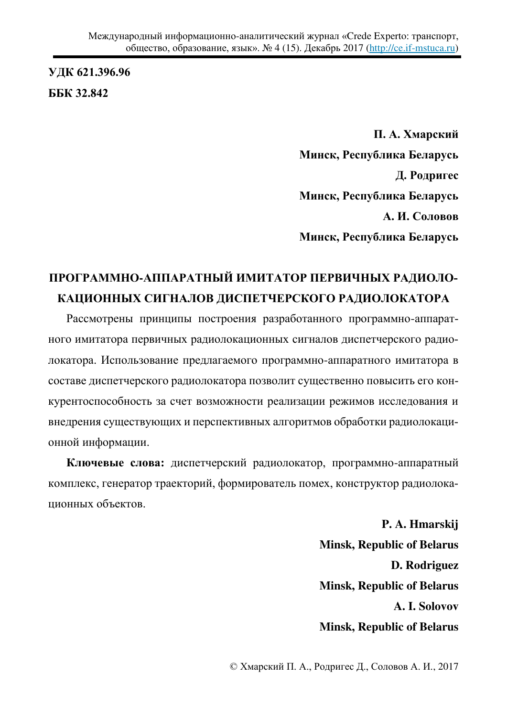**ɍȾɄ 621.396.96 GGK 32.842** 

> П. А. Хмарский Минск, Республика Беларусь **Д. Родригес** Минск, Республика Беларусь А. И. Соловов Минск, Республика Беларусь

## ПРОГРАММНО-АППАРАТНЫЙ ИМИТАТОР ПЕРВИЧНЫХ РАДИОЛО-КАЦИОННЫХ СИГНАЛОВ ДИСПЕТЧЕРСКОГО РАДИОЛОКАТОРА

Рассмотрены принципы построения разработанного программно-аппаратного имитатора первичных радиолокационных сигналов диспетчерского радиолокатора. Использование предлагаемого программно-аппаратного имитатора в составе диспетчерского радиолокатора позволит существенно повысить его конкурентоспособность за счет возможности реализации режимов исследования и внедрения существующих и перспективных алгоритмов обработки радиолокационной информации.

Ключевые слова: диспетчерский радиолокатор, программно-аппаратный комплекс, генератор траекторий, формирователь помех, конструктор радиолокационных объектов.

> **P. A. Hmarskij Minsk, Republic of Belarus D. Rodriguez Minsk, Republic of Belarus A. I. Solovov Minsk, Republic of Belarus**

© Хмарский П. А., Родригес Д., Соловов А. И., 2017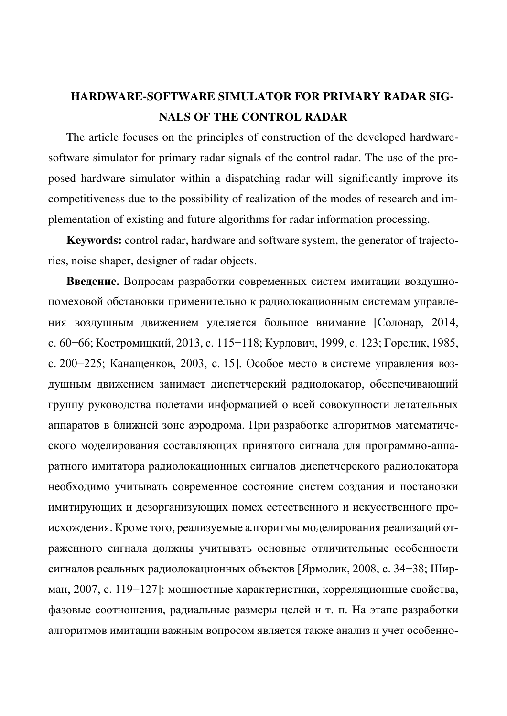## **HARDWARE-SOFTWARE SIMULATOR FOR PRIMARY RADAR SIG-NALS OF THE CONTROL RADAR**

The article focuses on the principles of construction of the developed hardwaresoftware simulator for primary radar signals of the control radar. The use of the proposed hardware simulator within a dispatching radar will significantly improve its competitiveness due to the possibility of realization of the modes of research and implementation of existing and future algorithms for radar information processing.

**Keywords:** control radar, hardware and software system, the generator of trajectories, noise shaper, designer of radar objects.

Введение. Вопросам разработки современных систем имитации воздушнопомеховой обстановки применительно к радиолокационным системам управления воздушным движением уделяется большое внимание [Солонар, 2014, с. 60–66; Костромицкий, 2013, с. 115–118; Курлович, 1999, с. 123; Горелик, 1985, с. 200−225; Канащенков, 2003, с. 15]. Особое место в системе управления воздушным движением занимает диспетчерский радиолокатор, обеспечивающий группу руководства полетами информацией о всей совокупности летательных аппаратов в ближней зоне аэродрома. При разработке алгоритмов математического моделирования составляющих принятого сигнала для программно-аппаратного имитатора радиолокационных сигналов диспетчерского радиолокатора необходимо учитывать современное состояние систем создания и постановки имитирующих и дезорганизующих помех естественного и искусственного происхождения. Кроме того, реализуемые алгоритмы моделирования реализаций отраженного сигнала должны учитывать основные отличительные особенности сигналов реальных радиолокационных объектов [Ярмолик, 2008, с. 34–38; Ширман, 2007, с. 119−127]: мощностные характеристики, корреляционные свойства, фазовые соотношения, радиальные размеры целей и т. п. На этапе разработки алгоритмов имитации важным вопросом является также анализ и учет особенно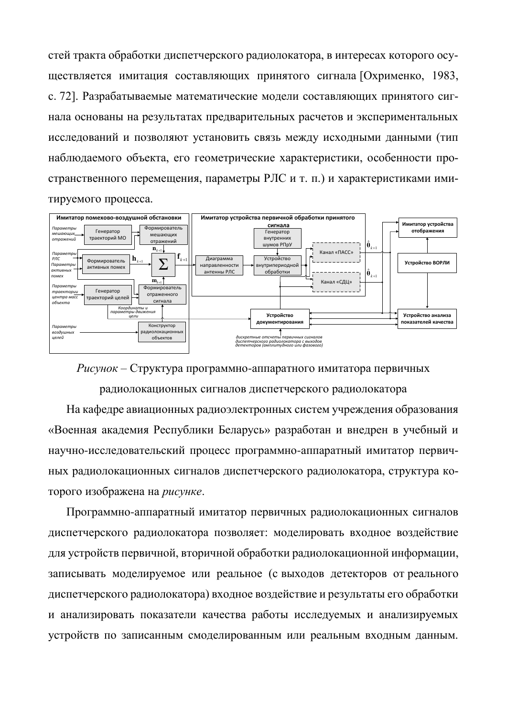стей тракта обработки диспетчерского радиолокатора, в интересах которого осуществляется имитация составляющих принятого сигнала [Охрименко, 1983, с. 72]. Разрабатываемые математические модели составляющих принятого сигнала основаны на результатах предварительных расчетов и экспериментальных исследований и позволяют установить связь между исходными данными (тип наблюдаемого объекта, его геометрические характеристики, особенности пространственного перемещения, параметры РЛС и т. п.) и характеристиками имитируемого процесса.



 $Pucynok - C$ труктура программно-аппаратного имитатора первичных

радиолокационных сигналов диспетчерского радиолокатора

На кафедре авиационных радиоэлектронных систем учреждения образования «Военная академия Республики Беларусь» разработан и внедрен в учебный и научно-исследовательский процесс программно-аппаратный имитатор первичных радиолокационных сигналов диспетчерского радиолокатора, структура которого изображена на *рисунке*.

Программно-аппаратный имитатор первичных радиолокационных сигналов диспетчерского радиолокатора позволяет: моделировать входное воздействие для устройств первичной, вторичной обработки радиолокационной информации, записывать моделируемое или реальное (с выходов детекторов от реального диспетчерского радиолокатора) входное воздействие и результаты его обработки и анализировать показатели качества работы исследуемых и анализируемых устройств по записанным смоделированным или реальным входным данным.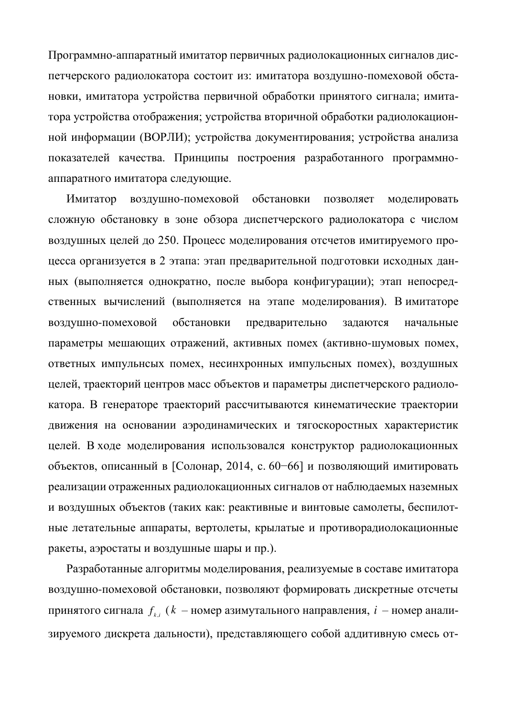Программно-аппаратный имитатор первичных радиолокационных сигналов диспетчерского радиолокатора состоит из: имитатора воздушно-помеховой обстановки, имитатора устройства первичной обработки принятого сигнала; имитатора устройства отображения; устройства вторичной обработки радиолокационной информации (ВОРЛИ); устройства документирования; устройства анализа показателей качества. Принципы построения разработанного программноаппаратного имитатора следующие.

Имитатор воздушно-помеховой обстановки позволяет моделировать сложную обстановку в зоне обзора диспетчерского радиолокатора с числом воздушных целей до 250. Процесс моделирования отсчетов имитируемого процесса организуется в 2 этапа: этап предварительной подготовки исходных данных (выполняется однократно, после выбора конфигурации); этап непосредственных вычислений (выполняется на этапе моделирования). В имитаторе воздушно-помеховой обстановки предварительно задаются начальные параметры мешающих отражений, активных помех (активно-шумовых помех, ответных импульнсых помех, несинхронных импульсных помех), воздушных целей, траекторий центров масс объектов и параметры диспетчерского радиолокатора. В генераторе траекторий рассчитываются кинематические траектории движения на основании аэродинамических и тягоскоростных характеристик целей. В ходе моделирования использовался конструктор радиолокационных объектов, описанный в [Солонар, 2014, с. 60–66] и позволяющий имитировать реализации отраженных радиолокационных сигналов от наблюдаемых наземных и воздушных объектов (таких как: реактивные и винтовые самолеты, беспилотные летательные аппараты, вертолеты, крылатые и противорадиолокационные ракеты, аэростаты и воздушные шары и пр.).

Разработанные алгоритмы моделирования, реализуемые в составе имитатора воздушно-помеховой обстановки, позволяют формировать дискретные отсчеты принятого сигнала  $\,f_{_{k,i}} \, (k \,$  – номер азимутального направления,  $\,i \,$  – номер анализируемого дискрета дальности), представляющего собой аддитивную смесь от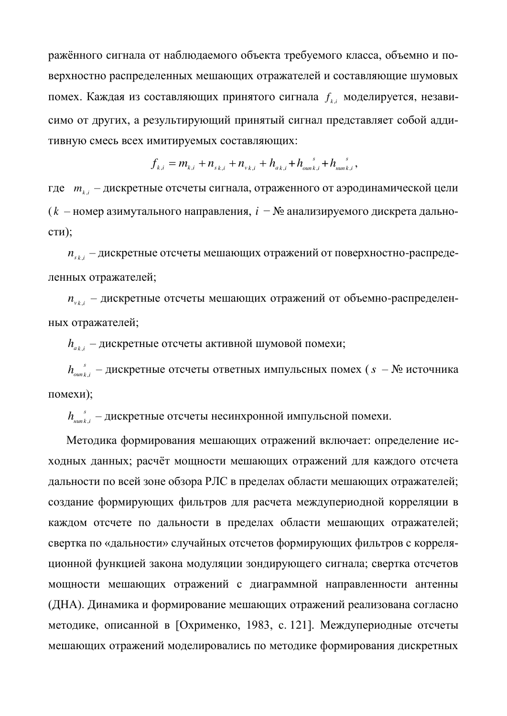ражённого сигнала от наблюдаемого объекта требуемого класса, объемно и поверхностно распределенных мешающих отражателей и составляющие шумовых помех. Каждая из составляющих принятого сигнала  $f_{k,i}$  моделируется, независимо от других, а результирующий принятый сигнал представляет собой аддитивную смесь всех имитируемых составляющих:

$$
f_{k,i} = m_{k,i} + n_{s,k,i} + n_{k,i} + n_{ak,i} + n_{\text{out},i} + n_{\text{out},k,i}^{\text{}} ,
$$

где *m* <sub>k,i</sub> – дискретные отсчеты сигнала, отраженного от аэродинамической цели (  $k$  – номер азимутального направления,  $i - N_2$  анализируемого дискрета дально $c_{TH}$ );

 $n_{_{s_{k,i}}}$  – дискретные отсчеты мешающих отражений от поверхностно-распределенных отражателей;

 $n_{\scriptscriptstyle v_{k,i}}$  – дискретные отсчеты мешающих отражений от объемно-распределенных отражателей;

 $h_{_{ak,i}}$  – дискретные отсчеты активной шумовой помехи;

*s ɨɢɩ ik h* , – ɞɢɫɤɪɟɬɧɵɟ ɨɬɫɱɟɬɵ ɨɬɜɟɬɧɵɯ ɢɦɩɭɥɶɫɧɵɯ ɩɨɦɟɯ (*s* – № ɢɫɬɨɱɧɢɤɚ помехи);

*s*  $h_{\scriptscriptstyle\rm{num}\,k,i}^{\phantom{\mathrm{max}\,}}$  – дискретные отсчеты несинхронной импульсной помехи.

Методика формирования мешающих отражений включает: определение исходных данных; расчёт мощности мешающих отражений для каждого отсчета дальности по всей зоне обзора РЛС в пределах области мешающих отражателей; создание формирующих фильтров для расчета междупериодной корреляции в каждом отсчете по дальности в пределах области мешающих отражателей; свертка по «дальности» случайных отсчетов формирующих фильтров с корреляционной функцией закона модуляции зондирующего сигнала; свертка отсчетов мощности мешающих отражений с диаграммной направленности антенны (ДНА). Динамика и формирование мешающих отражений реализована согласно методике, описанной в [Охрименко, 1983, с. 121]. Междупериодные отсчеты мешающих отражений моделировались по методике формирования дискретных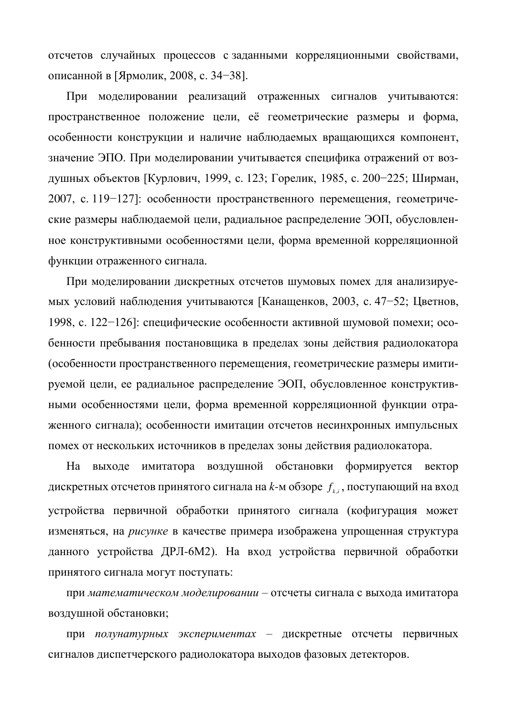отсчетов случайных процессов с заданными корреляционными свойствами, описанной в [Ярмолик, 2008, с. 34–38].

При моделировании реализаций отраженных сигналов учитываются: пространственное положение цели, её геометрические размеры и форма, особенности конструкции и наличие наблюдаемых вращающихся компонент, значение ЭПО. При моделировании учитывается специфика отражений от воздушных объектов [Курлович, 1999, с. 123; Горелик, 1985, с. 200-225; Ширман, 2007, с. 119−127]: особенности пространственного перемещения, геометрические размеры наблюдаемой цели, радиальное распределение ЭОП, обусловленное конструктивными особенностями цели, форма временной корреляционной функции отраженного сигнала.

При моделировании дискретных отсчетов шумовых помех для анализируемых условий наблюдения учитываются [Канащенков, 2003, с. 47–52; Цветнов, 1998, с. 122-126]: специфические особенности активной шумовой помехи; особенности пребывания постановщика в пределах зоны действия радиолокатора (особенности пространственного перемещения, геометрические размеры имитируемой цели, ее радиальное распределение ЭОП, обусловленное конструктивными особенностями цели, форма временной корреляционной функции отраженного сигнала); особенности имитации отсчетов несинхронных импульсных помех от нескольких источников в пределах зоны действия радиолокатора.

На выходе имитатора воздушной обстановки формируется вектор дискретных отсчетов принятого сигнала на *k*-м обзоре  $\,_{k,i}\,$ , поступающий на вход устройства первичной обработки принятого сигнала (кофигурация может изменяться, на рисунке в качестве примера изображена упрощенная структура данного устройства ДРЛ-6М2). На вход устройства первичной обработки принятого сигнала могут поступать:

при математическом моделировании – отсчеты сигнала с выхода имитатора воздушной обстановки;

при полунатурных экспериментах – дискретные отсчеты первичных сигналов диспетчерского радиолокатора выходов фазовых детекторов.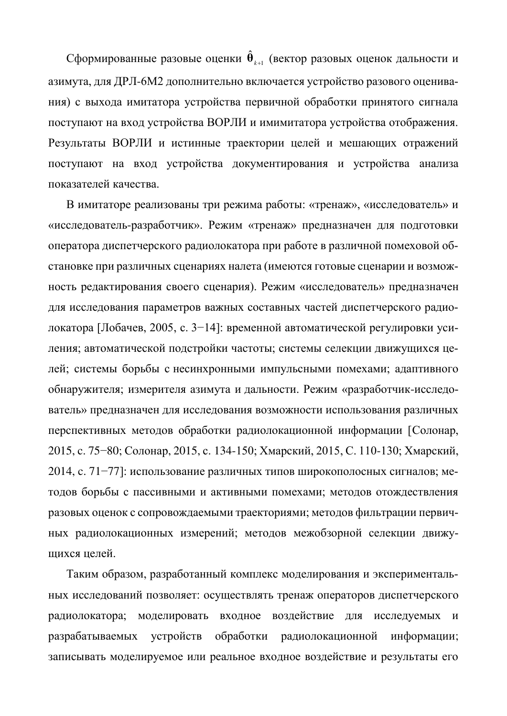Сформированные разовые оценки  $\hat{\theta}_{\scriptscriptstyle{k+1}}$  (вектор разовых оценок дальности и азимута, для ДРЛ-6М2 дополнительно включается устройство разового оценивания) с выхода имитатора устройства первичной обработки принятого сигнала поступают на вход устройства ВОРЛИ и имимитатора устройства отображения. Результаты ВОРЛИ и истинные траектории целей и мешающих отражений поступают на вход устройства документирования и устройства анализа показателей качества.

В имитаторе реализованы три режима работы: «тренаж», «исследователь» и «исследователь-разработчик». Режим «тренаж» предназначен для подготовки оператора диспетчерского радиолокатора при работе в различной помеховой обстановке при различных сценариях налета (имеются готовые сценарии и возможность редактирования своего сценария). Режим «исследователь» предназначен для исследования параметров важных составных частей диспетчерского радиолокатора [Лобачев, 2005, с. 3–14]: временной автоматической регулировки усиления; автоматической подстройки частоты; системы селекции движущихся целей; системы борьбы с несинхронными импульсными помехами; адаптивного обнаружителя; измерителя азимута и дальности. Режим «разработчик-исследователь» предназначен для исследования возможности использования различных перспективных методов обработки радиолокационной информации [Солонар, 2015, с. 75–80; Солонар, 2015, с. 134-150; Хмарский, 2015, С. 110-130; Хмарский, 2014, с. 71–77]: использование различных типов широкополосных сигналов; методов борьбы с пассивными и активными помехами; методов отождествления разовых оценок с сопровождаемыми траекториями; методов фильтрации первичных радиолокационных измерений; методов межобзорной селекции движушихся целей.

Таким образом, разработанный комплекс моделирования и экспериментальных исследований позволяет: осуществлять тренаж операторов диспетчерского радиолокатора; моделировать входное воздействие для исследуемых и разрабатываемых устройств обработки радиолокационной информации; записывать моделируемое или реальное входное воздействие и результаты его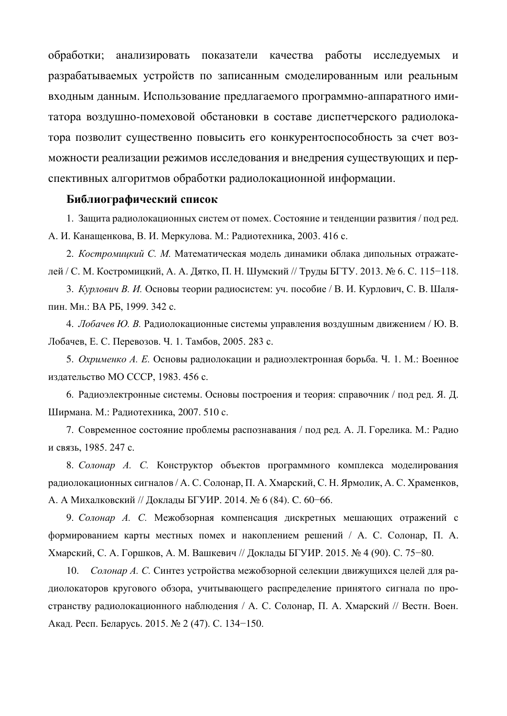обработки; анализировать показатели качества работы исследуемых и разрабатываемых устройств по записанным смоделированным или реальным входным данным. Использование предлагаемого программно-аппаратного имитатора воздушно-помеховой обстановки в составе диспетчерского радиолокатора позволит существенно повысить его конкурентоспособность за счет возможности реализации режимов исследования и внедрения существующих и перспективных алгоритмов обработки радиолокационной информации.

## **Библиографический список**

1. Защита радиолокационных систем от помех. Состояние и тенденции развития / под ред. А. И. Канащенкова, В. И. Меркулова. М.: Радиотехника, 2003. 416 с.

2. Костромицкий С. М. Математическая модель динамики облака дипольных отражателей / С. М. Костромицкий, А. А. Дятко, П. Н. Шумский // Труды БГТУ. 2013. № 6. С. 115-118.

3. *Курлович В. И.* Основы теории радиосистем: уч. пособие / В. И. Курлович, С. В. Шаляпин. Мн.: ВА РБ, 1999. 342 с.

4. *Лобачев Ю. В.* Радиолокационные системы управления воздушным движением / Ю. В. Лобачев, Е. С. Перевозов. Ч. 1. Тамбов, 2005. 283 с.

5. Охрименко А. Е. Основы радиолокации и радиоэлектронная борьба. Ч. 1. М.: Военное издательство МО СССР, 1983. 456 с.

6. Радиоэлектронные системы. Основы построения и теория: справочник / под ред. Я. Д. Ширмана. М.: Радиотехника, 2007. 510 с.

7. Современное состояние проблемы распознавания / под ред. А. Л. Горелика. М.: Радио и связь, 1985. 247 с.

8. *Солонар А. С.* Конструктор объектов программного комплекса моделирования радиолокационных сигналов / А. С. Солонар, П. А. Хмарский, С. Н. Ярмолик, А. С. Храменков, А. А Михалковский // Доклады БГУИР. 2014. № 6 (84). С. 60-66.

9. *Солонар А. С.* Межобзорная компенсация дискретных мешающих отражений с формированием карты местных помех и накоплением решений / А. С. Солонар, П. А. Хмарский, С. А. Горшков, А. М. Вашкевич // Доклады БГУИР. 2015. № 4 (90). С. 75–80.

10. *Солонар А. С.* Синтез устройства межобзорной селекции движущихся целей для радиолокаторов кругового обзора, учитывающего распределение принятого сигнала по пространству радиолокационного наблюдения / А. С. Солонар, П. А. Хмарский // Вестн. Воен. Акад. Респ. Беларусь. 2015. № 2 (47). С. 134-150.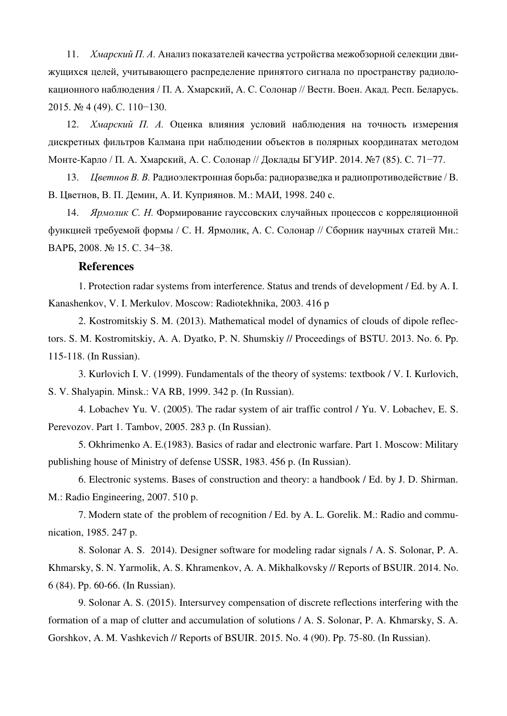11. *Хмарский П. А.* Анализ показателей качества устройства межобзорной селекции движущихся целей, учитывающего распределение принятого сигнала по пространству радиолокационного наблюдения / П. А. Хмарский, А. С. Солонар // Вестн. Воен. Акад. Респ. Беларусь. 2015. № 4 (49). ɋ. 110−130.

12. *Хмарский П. А.* Оценка влияния условий наблюдения на точность измерения дискретных фильтров Калмана при наблюдении объектов в полярных координатах методом Монте-Карло / П. А. Хмарский, А. С. Солонар // Доклады БГУИР. 2014. №7 (85). С. 71–77.

13. *Цветнов В. В.* Радиоэлектронная борьба: радиоразведка и радиопротиводействие / В. В. Цветнов, В. П. Демин, А. И. Куприянов. М.: МАИ, 1998. 240 с.

14. *Ярмолик С. Н.* Формирование гауссовских случайных процессов с корреляционной функцией требуемой формы / С. Н. Ярмолик, А. С. Солонар // Сборник научных статей Мн.: BAP5, 2008. № 15. C. 34-38.

## **References**

1. Protection radar systems from interference. Status and trends of development / Ed. by A. I. Kanashenkov, V. I. Merkulov. Moscow: Radiotekhnika, 2003. 416 p

2. Kostromitskiy S. M. (2013). Mathematical model of dynamics of clouds of dipole reflectors. S. M. Kostromitskiy, A. A. Dyatko, P. N. Shumskiy // Proceedings of BSTU. 2013. No. 6. Pp. 115-118. (In Russian).

3. Kurlovich I. V. (1999). Fundamentals of the theory of systems: textbook / V. I. Kurlovich, S. V. Shalyapin. Minsk.: VA RB, 1999. 342 p. (In Russian).

4. Lobachev Yu. V. (2005). The radar system of air traffic control / Yu. V. Lobachev, E. S. Perevozov. Part 1. Tambov, 2005. 283 p. (In Russian).

5. Okhrimenko A. E.(1983). Basics of radar and electronic warfare. Part 1. Moscow: Military publishing house of Ministry of defense USSR, 1983. 456 p. (In Russian).

6. Electronic systems. Bases of construction and theory: a handbook / Ed. by J. D. Shirman. M.: Radio Engineering, 2007. 510 p.

7. Modern state of the problem of recognition / Ed. by A. L. Gorelik. M.: Radio and communication, 1985. 247 p.

8. Solonar A. S. 2014). Designer software for modeling radar signals / A. S. Solonar, P. A. Khmarsky, S. N. Yarmolik, A. S. Khramenkov, A. A. Mikhalkovsky // Reports of BSUIR. 2014. No. 6 (84). Pp. 60-66. (In Russian).

9. Solonar A. S. (2015). Intersurvey compensation of discrete reflections interfering with the formation of a map of clutter and accumulation of solutions / A. S. Solonar, P. A. Khmarsky, S. A. Gorshkov, A. M. Vashkevich // Reports of BSUIR. 2015. No. 4 (90). Pp. 75-80. (In Russian).